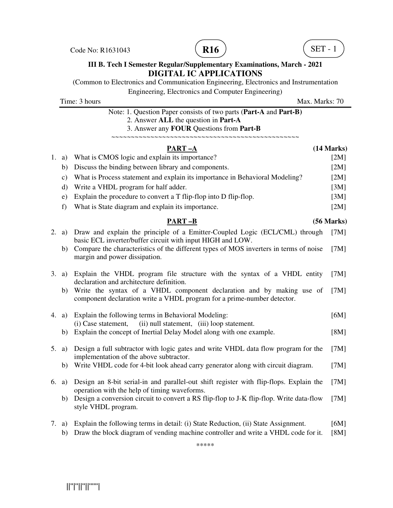Code No: R1631043 **R16** R16 **R16** (**R16** R16





#### **III B. Tech I Semester Regular/Supplementary Examinations, March - 2021 DIGITAL IC APPLICATIONS**

(Common to Electronics and Communication Engineering, Electronics and Instrumentation Engineering, Electronics and Computer Engineering)

Time: 3 hours Max. Marks: 70

| Note: 1. Question Paper consists of two parts (Part-A and Part-B) |
|-------------------------------------------------------------------|
| 2. Answer ALL the question in <b>Part-A</b>                       |
| 3. Answer any <b>FOUR</b> Questions from <b>Part-B</b>            |
|                                                                   |

# **PART –A** (14 Marks) 1. a) What is CMOS logic and explain its importance? [2M] b) Discuss the binding between library and components. [2M] c) What is Process statement and explain its importance in Behavioral Modeling? [2M] d) Write a VHDL program for half adder. [3M]

- e) Explain the procedure to convert a T flip-flop into D flip-flop. [3M]
- f) What is State diagram and explain its importance. [2M]

### **PART –B (56 Marks)**

|    |    | 2. a) Draw and explain the principle of a Emitter-Coupled Logic (ECL/CML) through<br>basic ECL inverter/buffer circuit with input HIGH and LOW.  | [7M] |
|----|----|--------------------------------------------------------------------------------------------------------------------------------------------------|------|
|    | b) | Compare the characteristics of the different types of MOS inverters in terms of noise<br>margin and power dissipation.                           | [7M] |
|    |    | 3. a) Explain the VHDL program file structure with the syntax of a VHDL entity<br>declaration and architecture definition.                       | [7M] |
|    | b) | Write the syntax of a VHDL component declaration and by making use of<br>component declaration write a VHDL program for a prime-number detector. | [7M] |
|    |    | 4. a) Explain the following terms in Behavioral Modeling:<br>(i) Case statement, (ii) null statement, (iii) loop statement.                      | [6M] |
|    | b) | Explain the concept of Inertial Delay Model along with one example.                                                                              | [8M] |
|    |    | 5. a) Design a full subtractor with logic gates and write VHDL data flow program for the<br>implementation of the above subtractor.              | [7M] |
|    | b) | Write VHDL code for 4-bit look ahead carry generator along with circuit diagram.                                                                 | [7M] |
| 6. | a) | Design an 8-bit serial-in and parallel-out shift register with flip-flops. Explain the<br>operation with the help of timing waveforms.           | [7M] |
|    | b) | Design a conversion circuit to convert a RS flip-flop to J-K flip-flop. Write data-flow<br>style VHDL program.                                   | [7M] |

7. a) Explain the following terms in detail: (i) State Reduction, (ii) State Assignment. [6M] b) Draw the block diagram of vending machine controller and write a VHDL code for it. [8M]

\*\*\*\*\*

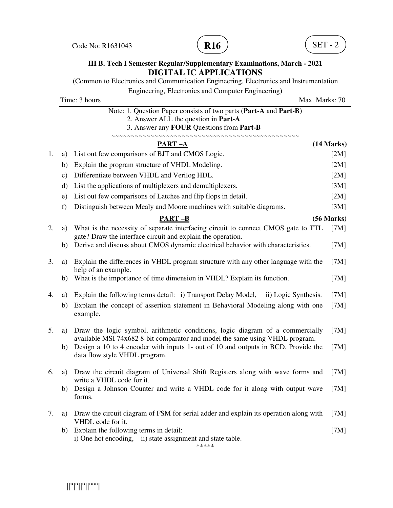Code No: R1631043 **R16**  $\overline{R16}$  (SET - 2





### **III B. Tech I Semester Regular/Supplementary Examinations, March - 2021 DIGITAL IC APPLICATIONS**

(Common to Electronics and Communication Engineering, Electronics and Instrumentation Engineering, Electronics and Computer Engineering)

|    |               | Time: 3 hours<br>Max. Marks: 70                                                                                                                       |            |
|----|---------------|-------------------------------------------------------------------------------------------------------------------------------------------------------|------------|
|    |               | Note: 1. Question Paper consists of two parts (Part-A and Part-B)<br>2. Answer ALL the question in Part-A<br>3. Answer any FOUR Questions from Part-B |            |
|    |               | PART-A                                                                                                                                                | (14 Marks) |
| 1. | a)            | List out few comparisons of BJT and CMOS Logic.                                                                                                       | [2M]       |
|    | b)            | Explain the program structure of VHDL Modeling.                                                                                                       | [2M]       |
|    | $\mathbf{c})$ | Differentiate between VHDL and Verilog HDL.                                                                                                           | [2M]       |
|    | d)            | List the applications of multiplexers and demultiplexers.                                                                                             | [3M]       |
|    | e)            | List out few comparisons of Latches and flip flops in detail.                                                                                         | [2M]       |
|    | f)            | Distinguish between Mealy and Moore machines with suitable diagrams.                                                                                  | [3M]       |
|    |               | <b>PART-B</b>                                                                                                                                         | (56 Marks) |
| 2. | a)            | What is the necessity of separate interfacing circuit to connect CMOS gate to TTL<br>gate? Draw the interface circuit and explain the operation.      | [7M]       |
|    | b)            | Derive and discuss about CMOS dynamic electrical behavior with characteristics.                                                                       | [7M]       |
| 3. | a)            | Explain the differences in VHDL program structure with any other language with the<br>help of an example.                                             | [7M]       |
|    | b)            | What is the importance of time dimension in VHDL? Explain its function.                                                                               | [7M]       |
| 4. | a)            | Explain the following terms detail: i) Transport Delay Model, ii) Logic Synthesis.                                                                    | [7M]       |
|    | b)            | Explain the concept of assertion statement in Behavioral Modeling along with one<br>example.                                                          | [7M]       |
| 5. | a)            | Draw the logic symbol, arithmetic conditions, logic diagram of a commercially                                                                         | [7M]       |
|    |               | available MSI 74x682 8-bit comparator and model the same using VHDL program.                                                                          |            |
|    | b)            | Design a 10 to 4 encoder with inputs 1- out of 10 and outputs in BCD. Provide the<br>data flow style VHDL program.                                    | [7M]       |
| 6. | a)            | Draw the circuit diagram of Universal Shift Registers along with wave forms and<br>write a VHDL code for it.                                          | [7M]       |
|    | b)            | Design a Johnson Counter and write a VHDL code for it along with output wave<br>forms.                                                                | [7M]       |
| 7. | a)            | Draw the circuit diagram of FSM for serial adder and explain its operation along with<br>VHDL code for it.                                            | [7M]       |
|    | b)            | Explain the following terms in detail:                                                                                                                | [7M]       |
|    |               | i) One hot encoding, ii) state assignment and state table.<br>*****                                                                                   |            |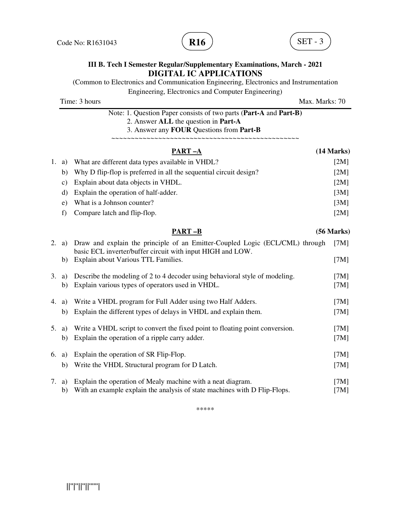Code No: R1631043 **R16**  $\overline{R16}$  (**R16**  $\overline{R16}$  (**SET** - 3





#### **III B. Tech I Semester Regular/Supplementary Examinations, March - 2021 DIGITAL IC APPLICATIONS**

(Common to Electronics and Communication Engineering, Electronics and Instrumentation Engineering, Electronics and Computer Engineering) Time: 3 hours Max. Marks: 70 Note: 1. Question Paper consists of two parts (**Part-A** and **Part-B)** 2. Answer **ALL** the question in **Part-A** 3. Answer any **FOUR** Questions from **Part-B** ~~~~~~~~~~~~~~~~~~~~~~~~~~~~~~~~~~~~~~~~~~~~~~~~ **PART –A** (14 Marks) 1. a) What are different data types available in VHDL? [2M] b) Why D flip-flop is preferred in all the sequential circuit design? [2M] c) Explain about data objects in VHDL. [2M] d) Explain the operation of half-adder. [3M] e) What is a Johnson counter? [3M] f) Compare latch and flip-flop. [2M] **PART –B (56 Marks)** 2. a) Draw and explain the principle of an Emitter-Coupled Logic (ECL/CML) through [7M] basic ECL inverter/buffer circuit with input HIGH and LOW. b) Explain about Various TTL Families. [7M] 3. a) Describe the modeling of 2 to 4 decoder using behavioral style of modeling. [7M] b) Explain various types of operators used in VHDL. [7M] 4. a) Write a VHDL program for Full Adder using two Half Adders. [7M] b) Explain the different types of delays in VHDL and explain them. [7M] 5. a) Write a VHDL script to convert the fixed point to floating point conversion. [7M] b) Explain the operation of a ripple carry adder. [7M] 6. a) Explain the operation of SR Flip-Flop. [7M] b) Write the VHDL Structural program for D Latch. [7M]

7. a) Explain the operation of Mealy machine with a neat diagram. [7M] b) With an example explain the analysis of state machines with D Flip-Flops. [7M]

\*\*\*\*\*